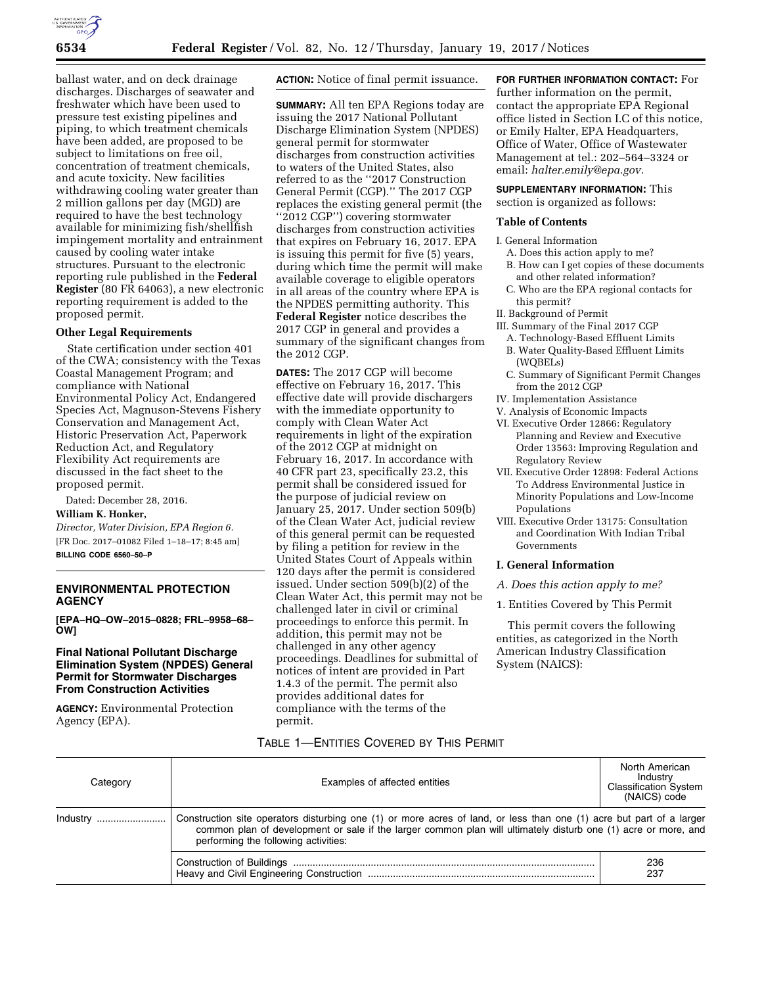

ballast water, and on deck drainage discharges. Discharges of seawater and freshwater which have been used to pressure test existing pipelines and piping, to which treatment chemicals have been added, are proposed to be subject to limitations on free oil, concentration of treatment chemicals, and acute toxicity. New facilities withdrawing cooling water greater than 2 million gallons per day (MGD) are required to have the best technology available for minimizing fish/shellfish impingement mortality and entrainment caused by cooling water intake structures. Pursuant to the electronic reporting rule published in the **Federal Register** (80 FR 64063), a new electronic reporting requirement is added to the proposed permit.

# **Other Legal Requirements**

State certification under section 401 of the CWA; consistency with the Texas Coastal Management Program; and compliance with National Environmental Policy Act, Endangered Species Act, Magnuson-Stevens Fishery Conservation and Management Act, Historic Preservation Act, Paperwork Reduction Act, and Regulatory Flexibility Act requirements are discussed in the fact sheet to the proposed permit.

Dated: December 28, 2016.

# **William K. Honker,**

*Director, Water Division, EPA Region 6.*  [FR Doc. 2017–01082 Filed 1–18–17; 8:45 am] **BILLING CODE 6560–50–P** 

# **ENVIRONMENTAL PROTECTION AGENCY**

**[EPA–HQ–OW–2015–0828; FRL–9958–68– OW]** 

# **Final National Pollutant Discharge Elimination System (NPDES) General Permit for Stormwater Discharges From Construction Activities**

**AGENCY:** Environmental Protection Agency (EPA).

**ACTION:** Notice of final permit issuance.

**SUMMARY:** All ten EPA Regions today are issuing the 2017 National Pollutant Discharge Elimination System (NPDES) general permit for stormwater discharges from construction activities to waters of the United States, also referred to as the ''2017 Construction General Permit (CGP).'' The 2017 CGP replaces the existing general permit (the ''2012 CGP'') covering stormwater discharges from construction activities that expires on February 16, 2017. EPA is issuing this permit for five (5) years, during which time the permit will make available coverage to eligible operators in all areas of the country where EPA is the NPDES permitting authority. This **Federal Register** notice describes the 2017 CGP in general and provides a summary of the significant changes from the 2012 CGP.

**DATES:** The 2017 CGP will become effective on February 16, 2017. This effective date will provide dischargers with the immediate opportunity to comply with Clean Water Act requirements in light of the expiration of the 2012 CGP at midnight on February 16, 2017. In accordance with 40 CFR part 23, specifically 23.2, this permit shall be considered issued for the purpose of judicial review on January 25, 2017. Under section 509(b) of the Clean Water Act, judicial review of this general permit can be requested by filing a petition for review in the United States Court of Appeals within 120 days after the permit is considered issued. Under section 509(b)(2) of the Clean Water Act, this permit may not be challenged later in civil or criminal proceedings to enforce this permit. In addition, this permit may not be challenged in any other agency proceedings. Deadlines for submittal of notices of intent are provided in Part 1.4.3 of the permit. The permit also provides additional dates for compliance with the terms of the permit.

**FOR FURTHER INFORMATION CONTACT:** For further information on the permit, contact the appropriate EPA Regional office listed in Section I.C of this notice, or Emily Halter, EPA Headquarters, Office of Water, Office of Wastewater Management at tel.: 202–564–3324 or email: *[halter.emily@epa.gov.](mailto:halter.emily@epa.gov)* 

# **SUPPLEMENTARY INFORMATION:** This

section is organized as follows:

# **Table of Contents**

I. General Information

- A. Does this action apply to me? B. How can I get copies of these documents
- and other related information? C. Who are the EPA regional contacts for
- this permit?
- II. Background of Permit
- III. Summary of the Final 2017 CGP A. Technology-Based Effluent Limits
	- B. Water Quality-Based Effluent Limits (WQBELs)
- C. Summary of Significant Permit Changes from the 2012 CGP
- IV. Implementation Assistance
- V. Analysis of Economic Impacts
- VI. Executive Order 12866: Regulatory Planning and Review and Executive Order 13563: Improving Regulation and Regulatory Review
- VII. Executive Order 12898: Federal Actions To Address Environmental Justice in Minority Populations and Low-Income Populations
- VIII. Executive Order 13175: Consultation and Coordination With Indian Tribal Governments

### **I. General Information**

- *A. Does this action apply to me?*
- 1. Entities Covered by This Permit

This permit covers the following entities, as categorized in the North American Industry Classification System (NAICS):

# TABLE 1—ENTITIES COVERED BY THIS PERMIT

| Category | Examples of affected entities                                                                                                                                                                                                                                                  | North American<br>Industry<br><b>Classification System</b><br>(NAICS) code |
|----------|--------------------------------------------------------------------------------------------------------------------------------------------------------------------------------------------------------------------------------------------------------------------------------|----------------------------------------------------------------------------|
| Industry | Construction site operators disturbing one (1) or more acres of land, or less than one (1) acre but part of a larger<br>common plan of development or sale if the larger common plan will ultimately disturb one (1) acre or more, and<br>performing the following activities: |                                                                            |
|          |                                                                                                                                                                                                                                                                                | 236<br>237                                                                 |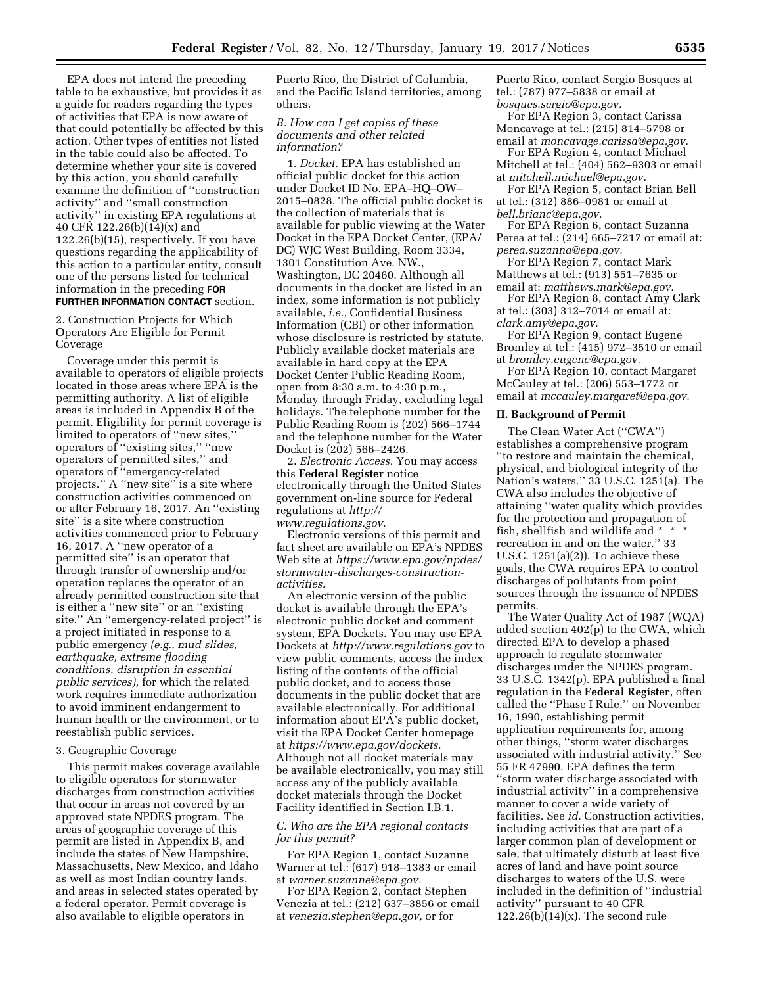EPA does not intend the preceding table to be exhaustive, but provides it as a guide for readers regarding the types of activities that EPA is now aware of that could potentially be affected by this action. Other types of entities not listed in the table could also be affected. To determine whether your site is covered by this action, you should carefully examine the definition of ''construction activity'' and ''small construction activity'' in existing EPA regulations at 40 CFR 122.26(b)(14)(x) and 122.26(b)(15), respectively. If you have questions regarding the applicability of this action to a particular entity, consult one of the persons listed for technical information in the preceding **FOR FURTHER INFORMATION CONTACT** section.

2. Construction Projects for Which Operators Are Eligible for Permit Coverage

Coverage under this permit is available to operators of eligible projects located in those areas where EPA is the permitting authority. A list of eligible areas is included in Appendix B of the permit. Eligibility for permit coverage is limited to operators of ''new sites,'' operators of ''existing sites,'' ''new operators of permitted sites,'' and operators of ''emergency-related projects." A "new site" is a site where construction activities commenced on or after February 16, 2017. An ''existing site'' is a site where construction activities commenced prior to February 16, 2017. A ''new operator of a permitted site'' is an operator that through transfer of ownership and/or operation replaces the operator of an already permitted construction site that is either a ''new site'' or an ''existing site.'' An ''emergency-related project'' is a project initiated in response to a public emergency *(e.g., mud slides, earthquake, extreme flooding conditions, disruption in essential public services),* for which the related work requires immediate authorization to avoid imminent endangerment to human health or the environment, or to reestablish public services.

### 3. Geographic Coverage

This permit makes coverage available to eligible operators for stormwater discharges from construction activities that occur in areas not covered by an approved state NPDES program. The areas of geographic coverage of this permit are listed in Appendix B, and include the states of New Hampshire, Massachusetts, New Mexico, and Idaho as well as most Indian country lands, and areas in selected states operated by a federal operator. Permit coverage is also available to eligible operators in

Puerto Rico, the District of Columbia, and the Pacific Island territories, among others.

## *B. How can I get copies of these documents and other related information?*

1. *Docket.* EPA has established an official public docket for this action under Docket ID No. EPA–HQ–OW– 2015–0828. The official public docket is the collection of materials that is available for public viewing at the Water Docket in the EPA Docket Center, (EPA/ DC) WJC West Building, Room 3334, 1301 Constitution Ave. NW., Washington, DC 20460. Although all documents in the docket are listed in an index, some information is not publicly available, *i.e.,* Confidential Business Information (CBI) or other information whose disclosure is restricted by statute. Publicly available docket materials are available in hard copy at the EPA Docket Center Public Reading Room, open from 8:30 a.m. to 4:30 p.m., Monday through Friday, excluding legal holidays. The telephone number for the Public Reading Room is (202) 566–1744 and the telephone number for the Water Docket is (202) 566–2426.

2. *Electronic Access.* You may access this **Federal Register** notice electronically through the United States government on-line source for Federal regulations at *[http://](http://www.regulations.gov)  [www.regulations.gov.](http://www.regulations.gov)* 

Electronic versions of this permit and fact sheet are available on EPA's NPDES Web site at *[https://www.epa.gov/npdes/](https://www.epa.gov/npdes/stormwater-discharges-construction-activities)  [stormwater-discharges-construction](https://www.epa.gov/npdes/stormwater-discharges-construction-activities)[activities.](https://www.epa.gov/npdes/stormwater-discharges-construction-activities)* 

An electronic version of the public docket is available through the EPA's electronic public docket and comment system, EPA Dockets. You may use EPA Dockets at *<http://www.regulations.gov>* to view public comments, access the index listing of the contents of the official public docket, and to access those documents in the public docket that are available electronically. For additional information about EPA's public docket, visit the EPA Docket Center homepage at *[https://www.epa.gov/dockets.](https://www.epa.gov/dockets)*  Although not all docket materials may be available electronically, you may still access any of the publicly available docket materials through the Docket Facility identified in Section I.B.1.

# *C. Who are the EPA regional contacts for this permit?*

For EPA Region 1, contact Suzanne Warner at tel.: (617) 918–1383 or email at *[warner.suzanne@epa.gov.](mailto:warner.suzanne@epa.gov)* 

For EPA Region 2, contact Stephen Venezia at tel.: (212) 637–3856 or email at *[venezia.stephen@epa.gov,](mailto:venezia.stephen@epa.gov)* or for

Puerto Rico, contact Sergio Bosques at tel.: (787) 977–5838 or email at *[bosques.sergio@epa.gov.](mailto:bosques.sergio@epa.gov)* 

For EPA Region 3, contact Carissa Moncavage at tel.: (215) 814–5798 or email at *[moncavage.carissa@epa.gov.](mailto:moncavage.carissa@epa.gov)* 

For EPA Region 4, contact Michael Mitchell at tel.: (404) 562–9303 or email at *[mitchell.michael@epa.gov.](mailto:mitchell.michael@epa.gov)* 

For EPA Region 5, contact Brian Bell at tel.: (312) 886–0981 or email at *[bell.brianc@epa.gov.](mailto:bell.brianc@epa.gov)* 

For EPA Region 6, contact Suzanna Perea at tel.: (214) 665–7217 or email at: *[perea.suzanna@epa.gov.](mailto:perea.suzanna@epa.gov)* 

For EPA Region 7, contact Mark Matthews at tel.: (913) 551–7635 or email at: *[matthews.mark@epa.gov.](mailto:matthews.mark@epa.gov)* 

For EPA Region 8, contact Amy Clark at tel.: (303) 312–7014 or email at: *[clark.amy@epa.gov.](mailto:clark.amy@epa.gov)* 

For EPA Region 9, contact Eugene Bromley at tel.: (415) 972–3510 or email at *[bromley.eugene@epa.gov.](mailto:bromley.eugene@epa.gov)* 

For EPA Region 10, contact Margaret McCauley at tel.: (206) 553–1772 or email at *[mccauley.margaret@epa.gov.](mailto:mccauley.margaret@epa.gov)* 

### **II. Background of Permit**

The Clean Water Act (''CWA'') establishes a comprehensive program ''to restore and maintain the chemical, physical, and biological integrity of the Nation's waters.'' 33 U.S.C. 1251(a). The CWA also includes the objective of attaining ''water quality which provides for the protection and propagation of fish, shellfish and wildlife and \* \* \* recreation in and on the water.'' 33 U.S.C. 1251(a)(2)). To achieve these goals, the CWA requires EPA to control discharges of pollutants from point sources through the issuance of NPDES permits.

The Water Quality Act of 1987 (WQA) added section 402(p) to the CWA, which directed EPA to develop a phased approach to regulate stormwater discharges under the NPDES program. 33 U.S.C. 1342(p). EPA published a final regulation in the **Federal Register**, often called the ''Phase I Rule,'' on November 16, 1990, establishing permit application requirements for, among other things, ''storm water discharges associated with industrial activity.'' See 55 FR 47990. EPA defines the term ''storm water discharge associated with industrial activity'' in a comprehensive manner to cover a wide variety of facilities. See *id.* Construction activities, including activities that are part of a larger common plan of development or sale, that ultimately disturb at least five acres of land and have point source discharges to waters of the U.S. were included in the definition of ''industrial activity'' pursuant to 40 CFR 122.26(b)(14)(x). The second rule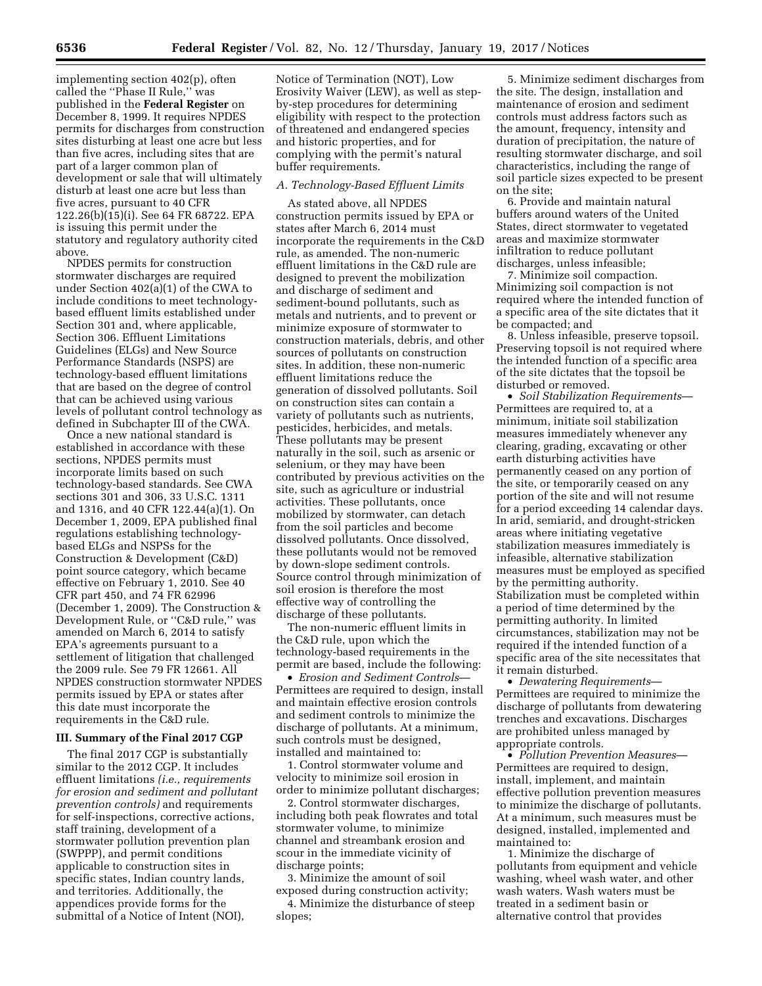implementing section 402(p), often called the ''Phase II Rule,'' was published in the **Federal Register** on December 8, 1999. It requires NPDES permits for discharges from construction sites disturbing at least one acre but less than five acres, including sites that are part of a larger common plan of development or sale that will ultimately disturb at least one acre but less than five acres, pursuant to 40 CFR 122.26(b)(15)(i). See 64 FR 68722. EPA is issuing this permit under the statutory and regulatory authority cited above.

NPDES permits for construction stormwater discharges are required under Section 402(a)(1) of the CWA to include conditions to meet technologybased effluent limits established under Section 301 and, where applicable, Section 306. Effluent Limitations Guidelines (ELGs) and New Source Performance Standards (NSPS) are technology-based effluent limitations that are based on the degree of control that can be achieved using various levels of pollutant control technology as defined in Subchapter III of the CWA.

Once a new national standard is established in accordance with these sections, NPDES permits must incorporate limits based on such technology-based standards. See CWA sections 301 and 306, 33 U.S.C. 1311 and 1316, and 40 CFR 122.44(a)(1). On December 1, 2009, EPA published final regulations establishing technologybased ELGs and NSPSs for the Construction & Development (C&D) point source category, which became effective on February 1, 2010. See 40 CFR part 450, and 74 FR 62996 (December 1, 2009). The Construction & Development Rule, or ''C&D rule,'' was amended on March 6, 2014 to satisfy EPA's agreements pursuant to a settlement of litigation that challenged the 2009 rule. See 79 FR 12661. All NPDES construction stormwater NPDES permits issued by EPA or states after this date must incorporate the requirements in the C&D rule.

### **III. Summary of the Final 2017 CGP**

The final 2017 CGP is substantially similar to the 2012 CGP. It includes effluent limitations *(i.e., requirements for erosion and sediment and pollutant prevention controls)* and requirements for self-inspections, corrective actions, staff training, development of a stormwater pollution prevention plan (SWPPP), and permit conditions applicable to construction sites in specific states, Indian country lands, and territories. Additionally, the appendices provide forms for the submittal of a Notice of Intent (NOI),

Notice of Termination (NOT), Low Erosivity Waiver (LEW), as well as stepby-step procedures for determining eligibility with respect to the protection of threatened and endangered species and historic properties, and for complying with the permit's natural buffer requirements.

### *A. Technology-Based Effluent Limits*

As stated above, all NPDES construction permits issued by EPA or states after March 6, 2014 must incorporate the requirements in the C&D rule, as amended. The non-numeric effluent limitations in the C&D rule are designed to prevent the mobilization and discharge of sediment and sediment-bound pollutants, such as metals and nutrients, and to prevent or minimize exposure of stormwater to construction materials, debris, and other sources of pollutants on construction sites. In addition, these non-numeric effluent limitations reduce the generation of dissolved pollutants. Soil on construction sites can contain a variety of pollutants such as nutrients, pesticides, herbicides, and metals. These pollutants may be present naturally in the soil, such as arsenic or selenium, or they may have been contributed by previous activities on the site, such as agriculture or industrial activities. These pollutants, once mobilized by stormwater, can detach from the soil particles and become dissolved pollutants. Once dissolved, these pollutants would not be removed by down-slope sediment controls. Source control through minimization of soil erosion is therefore the most effective way of controlling the discharge of these pollutants.

The non-numeric effluent limits in the C&D rule, upon which the technology-based requirements in the permit are based, include the following:

• *Erosion and Sediment Controls*— Permittees are required to design, install and maintain effective erosion controls and sediment controls to minimize the discharge of pollutants. At a minimum, such controls must be designed, installed and maintained to:

1. Control stormwater volume and velocity to minimize soil erosion in order to minimize pollutant discharges;

2. Control stormwater discharges, including both peak flowrates and total stormwater volume, to minimize channel and streambank erosion and scour in the immediate vicinity of discharge points;

3. Minimize the amount of soil exposed during construction activity;

4. Minimize the disturbance of steep slopes;

5. Minimize sediment discharges from the site. The design, installation and maintenance of erosion and sediment controls must address factors such as the amount, frequency, intensity and duration of precipitation, the nature of resulting stormwater discharge, and soil characteristics, including the range of soil particle sizes expected to be present on the site;

6. Provide and maintain natural buffers around waters of the United States, direct stormwater to vegetated areas and maximize stormwater infiltration to reduce pollutant discharges, unless infeasible;

7. Minimize soil compaction. Minimizing soil compaction is not required where the intended function of a specific area of the site dictates that it be compacted; and

8. Unless infeasible, preserve topsoil. Preserving topsoil is not required where the intended function of a specific area of the site dictates that the topsoil be disturbed or removed.

• *Soil Stabilization Requirements*— Permittees are required to, at a minimum, initiate soil stabilization measures immediately whenever any clearing, grading, excavating or other earth disturbing activities have permanently ceased on any portion of the site, or temporarily ceased on any portion of the site and will not resume for a period exceeding 14 calendar days. In arid, semiarid, and drought-stricken areas where initiating vegetative stabilization measures immediately is infeasible, alternative stabilization measures must be employed as specified by the permitting authority. Stabilization must be completed within a period of time determined by the permitting authority. In limited circumstances, stabilization may not be required if the intended function of a specific area of the site necessitates that it remain disturbed.

• *Dewatering Requirements*— Permittees are required to minimize the discharge of pollutants from dewatering trenches and excavations. Discharges are prohibited unless managed by appropriate controls.

• *Pollution Prevention Measures*— Permittees are required to design, install, implement, and maintain effective pollution prevention measures to minimize the discharge of pollutants. At a minimum, such measures must be designed, installed, implemented and maintained to:

1. Minimize the discharge of pollutants from equipment and vehicle washing, wheel wash water, and other wash waters. Wash waters must be treated in a sediment basin or alternative control that provides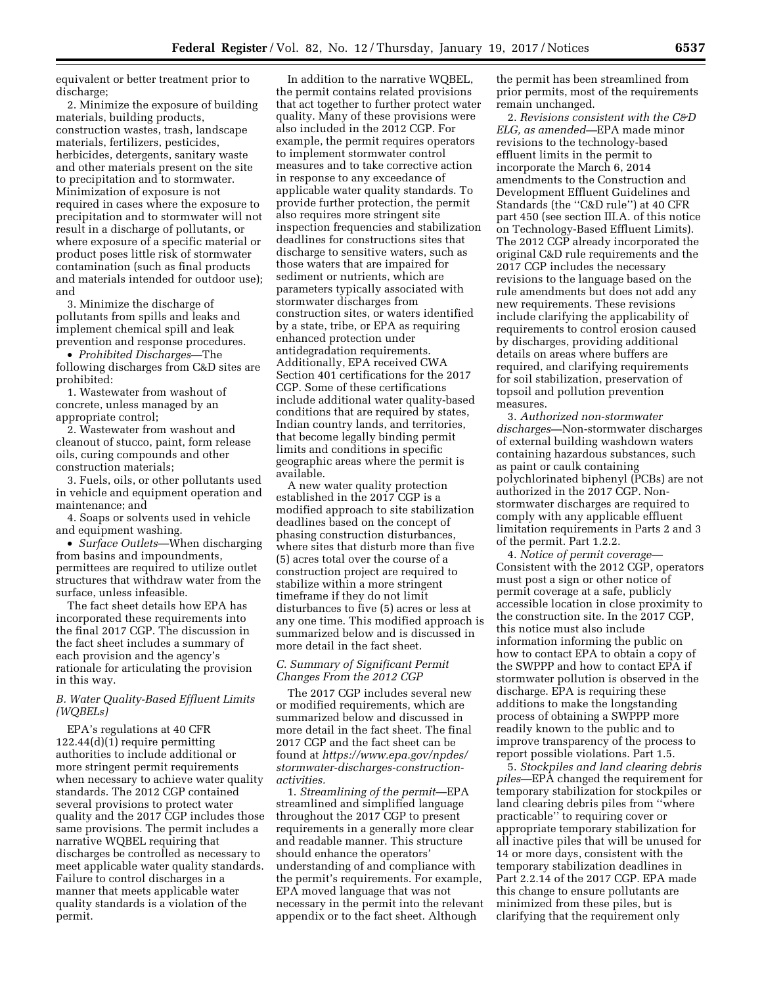equivalent or better treatment prior to discharge;

2. Minimize the exposure of building materials, building products, construction wastes, trash, landscape materials, fertilizers, pesticides, herbicides, detergents, sanitary waste and other materials present on the site to precipitation and to stormwater. Minimization of exposure is not required in cases where the exposure to precipitation and to stormwater will not result in a discharge of pollutants, or where exposure of a specific material or product poses little risk of stormwater contamination (such as final products and materials intended for outdoor use); and

3. Minimize the discharge of pollutants from spills and leaks and implement chemical spill and leak prevention and response procedures.

• *Prohibited Discharges*—The following discharges from C&D sites are prohibited:

1. Wastewater from washout of concrete, unless managed by an appropriate control;

2. Wastewater from washout and cleanout of stucco, paint, form release oils, curing compounds and other construction materials;

3. Fuels, oils, or other pollutants used in vehicle and equipment operation and maintenance; and

4. Soaps or solvents used in vehicle and equipment washing.

• *Surface Outlets*—When discharging from basins and impoundments, permittees are required to utilize outlet structures that withdraw water from the surface, unless infeasible.

The fact sheet details how EPA has incorporated these requirements into the final 2017 CGP. The discussion in the fact sheet includes a summary of each provision and the agency's rationale for articulating the provision in this way.

# *B. Water Quality-Based Effluent Limits (WQBELs)*

EPA's regulations at 40 CFR 122.44(d)(1) require permitting authorities to include additional or more stringent permit requirements when necessary to achieve water quality standards. The 2012 CGP contained several provisions to protect water quality and the 2017 CGP includes those same provisions. The permit includes a narrative WQBEL requiring that discharges be controlled as necessary to meet applicable water quality standards. Failure to control discharges in a manner that meets applicable water quality standards is a violation of the permit.

In addition to the narrative WQBEL, the permit contains related provisions that act together to further protect water quality. Many of these provisions were also included in the 2012 CGP. For example, the permit requires operators to implement stormwater control measures and to take corrective action in response to any exceedance of applicable water quality standards. To provide further protection, the permit also requires more stringent site inspection frequencies and stabilization deadlines for constructions sites that discharge to sensitive waters, such as those waters that are impaired for sediment or nutrients, which are parameters typically associated with stormwater discharges from construction sites, or waters identified by a state, tribe, or EPA as requiring enhanced protection under antidegradation requirements. Additionally, EPA received CWA Section 401 certifications for the 2017 CGP. Some of these certifications include additional water quality-based conditions that are required by states, Indian country lands, and territories, that become legally binding permit limits and conditions in specific geographic areas where the permit is available.

A new water quality protection established in the 2017 CGP is a modified approach to site stabilization deadlines based on the concept of phasing construction disturbances, where sites that disturb more than five (5) acres total over the course of a construction project are required to stabilize within a more stringent timeframe if they do not limit disturbances to five (5) acres or less at any one time. This modified approach is summarized below and is discussed in more detail in the fact sheet.

## *C. Summary of Significant Permit Changes From the 2012 CGP*

The 2017 CGP includes several new or modified requirements, which are summarized below and discussed in more detail in the fact sheet. The final 2017 CGP and the fact sheet can be found at *[https://www.epa.gov/npdes/](https://www.epa.gov/npdes/stormwater-discharges-construction-activities)  [stormwater-discharges-construction](https://www.epa.gov/npdes/stormwater-discharges-construction-activities)[activities](https://www.epa.gov/npdes/stormwater-discharges-construction-activities).* 

1. *Streamlining of the permit*—EPA streamlined and simplified language throughout the 2017 CGP to present requirements in a generally more clear and readable manner. This structure should enhance the operators' understanding of and compliance with the permit's requirements. For example, EPA moved language that was not necessary in the permit into the relevant appendix or to the fact sheet. Although

the permit has been streamlined from prior permits, most of the requirements remain unchanged.

2. *Revisions consistent with the C&D ELG, as amended—*EPA made minor revisions to the technology-based effluent limits in the permit to incorporate the March 6, 2014 amendments to the Construction and Development Effluent Guidelines and Standards (the ''C&D rule'') at 40 CFR part 450 (see section III.A. of this notice on Technology-Based Effluent Limits). The 2012 CGP already incorporated the original C&D rule requirements and the 2017 CGP includes the necessary revisions to the language based on the rule amendments but does not add any new requirements. These revisions include clarifying the applicability of requirements to control erosion caused by discharges, providing additional details on areas where buffers are required, and clarifying requirements for soil stabilization, preservation of topsoil and pollution prevention measures.

3. *Authorized non-stormwater discharges—*Non-stormwater discharges of external building washdown waters containing hazardous substances, such as paint or caulk containing polychlorinated biphenyl (PCBs) are not authorized in the 2017 CGP. Nonstormwater discharges are required to comply with any applicable effluent limitation requirements in Parts 2 and 3 of the permit. Part 1.2.2.

4. *Notice of permit coverage—*  Consistent with the 2012 CGP, operators must post a sign or other notice of permit coverage at a safe, publicly accessible location in close proximity to the construction site. In the 2017 CGP, this notice must also include information informing the public on how to contact EPA to obtain a copy of the SWPPP and how to contact EPA if stormwater pollution is observed in the discharge. EPA is requiring these additions to make the longstanding process of obtaining a SWPPP more readily known to the public and to improve transparency of the process to report possible violations. Part 1.5.

5. *Stockpiles and land clearing debris piles*—EPA changed the requirement for temporary stabilization for stockpiles or land clearing debris piles from ''where practicable'' to requiring cover or appropriate temporary stabilization for all inactive piles that will be unused for 14 or more days, consistent with the temporary stabilization deadlines in Part 2.2.14 of the 2017 CGP. EPA made this change to ensure pollutants are minimized from these piles, but is clarifying that the requirement only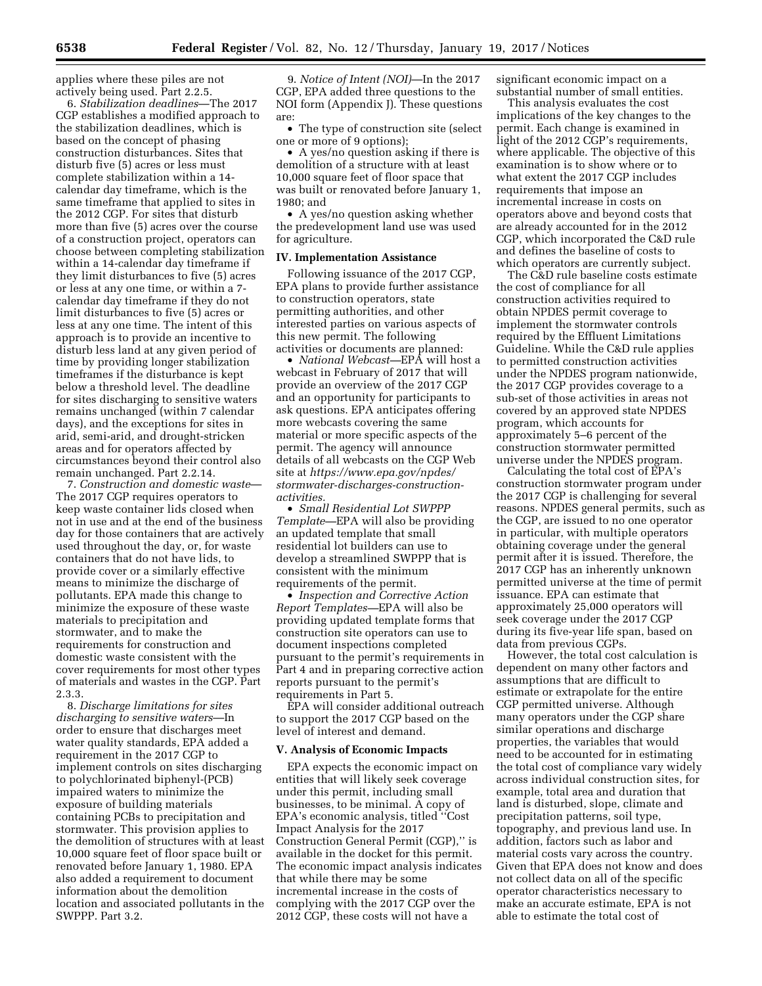applies where these piles are not actively being used. Part 2.2.5.

6. *Stabilization deadlines*—The 2017 CGP establishes a modified approach to the stabilization deadlines, which is based on the concept of phasing construction disturbances. Sites that disturb five (5) acres or less must complete stabilization within a 14 calendar day timeframe, which is the same timeframe that applied to sites in the 2012 CGP. For sites that disturb more than five (5) acres over the course of a construction project, operators can choose between completing stabilization within a 14-calendar day timeframe if they limit disturbances to five (5) acres or less at any one time, or within a 7 calendar day timeframe if they do not limit disturbances to five (5) acres or less at any one time. The intent of this approach is to provide an incentive to disturb less land at any given period of time by providing longer stabilization timeframes if the disturbance is kept below a threshold level. The deadline for sites discharging to sensitive waters remains unchanged (within 7 calendar days), and the exceptions for sites in arid, semi-arid, and drought-stricken areas and for operators affected by circumstances beyond their control also remain unchanged. Part 2.2.14.

7. *Construction and domestic waste*— The 2017 CGP requires operators to keep waste container lids closed when not in use and at the end of the business day for those containers that are actively used throughout the day, or, for waste containers that do not have lids, to provide cover or a similarly effective means to minimize the discharge of pollutants. EPA made this change to minimize the exposure of these waste materials to precipitation and stormwater, and to make the requirements for construction and domestic waste consistent with the cover requirements for most other types of materials and wastes in the CGP. Part 2.3.3.

8. *Discharge limitations for sites discharging to sensitive waters*—In order to ensure that discharges meet water quality standards, EPA added a requirement in the 2017 CGP to implement controls on sites discharging to polychlorinated biphenyl-(PCB) impaired waters to minimize the exposure of building materials containing PCBs to precipitation and stormwater. This provision applies to the demolition of structures with at least 10,000 square feet of floor space built or renovated before January 1, 1980. EPA also added a requirement to document information about the demolition location and associated pollutants in the SWPPP. Part 3.2.

9. *Notice of Intent (NOI)*—In the 2017 CGP, EPA added three questions to the NOI form (Appendix J). These questions are:

• The type of construction site (select one or more of 9 options);

• A yes/no question asking if there is demolition of a structure with at least 10,000 square feet of floor space that was built or renovated before January 1, 1980; and

• A yes/no question asking whether the predevelopment land use was used for agriculture.

### **IV. Implementation Assistance**

Following issuance of the 2017 CGP, EPA plans to provide further assistance to construction operators, state permitting authorities, and other interested parties on various aspects of this new permit. The following activities or documents are planned:

• *National Webcast—*EPA will host a webcast in February of 2017 that will provide an overview of the 2017 CGP and an opportunity for participants to ask questions. EPA anticipates offering more webcasts covering the same material or more specific aspects of the permit. The agency will announce details of all webcasts on the CGP Web site at *[https://www.epa.gov/npdes/](https://www.epa.gov/npdes/stormwater-discharges-construction-activities)  [stormwater-discharges-construction](https://www.epa.gov/npdes/stormwater-discharges-construction-activities)[activities.](https://www.epa.gov/npdes/stormwater-discharges-construction-activities)* 

• *Small Residential Lot SWPPP Template—*EPA will also be providing an updated template that small residential lot builders can use to develop a streamlined SWPPP that is consistent with the minimum requirements of the permit.

• *Inspection and Corrective Action Report Templates—*EPA will also be providing updated template forms that construction site operators can use to document inspections completed pursuant to the permit's requirements in Part 4 and in preparing corrective action reports pursuant to the permit's requirements in Part 5.

EPA will consider additional outreach to support the 2017 CGP based on the level of interest and demand.

#### **V. Analysis of Economic Impacts**

EPA expects the economic impact on entities that will likely seek coverage under this permit, including small businesses, to be minimal. A copy of EPA's economic analysis, titled ''Cost Impact Analysis for the 2017 Construction General Permit (CGP),'' is available in the docket for this permit. The economic impact analysis indicates that while there may be some incremental increase in the costs of complying with the 2017 CGP over the 2012 CGP, these costs will not have a

significant economic impact on a substantial number of small entities.

This analysis evaluates the cost implications of the key changes to the permit. Each change is examined in light of the 2012 CGP's requirements, where applicable. The objective of this examination is to show where or to what extent the 2017 CGP includes requirements that impose an incremental increase in costs on operators above and beyond costs that are already accounted for in the 2012 CGP, which incorporated the C&D rule and defines the baseline of costs to which operators are currently subject.

The C&D rule baseline costs estimate the cost of compliance for all construction activities required to obtain NPDES permit coverage to implement the stormwater controls required by the Effluent Limitations Guideline. While the C&D rule applies to permitted construction activities under the NPDES program nationwide, the 2017 CGP provides coverage to a sub-set of those activities in areas not covered by an approved state NPDES program, which accounts for approximately 5–6 percent of the construction stormwater permitted universe under the NPDES program.

Calculating the total cost of EPA's construction stormwater program under the 2017 CGP is challenging for several reasons. NPDES general permits, such as the CGP, are issued to no one operator in particular, with multiple operators obtaining coverage under the general permit after it is issued. Therefore, the 2017 CGP has an inherently unknown permitted universe at the time of permit issuance. EPA can estimate that approximately 25,000 operators will seek coverage under the 2017 CGP during its five-year life span, based on data from previous CGPs.

However, the total cost calculation is dependent on many other factors and assumptions that are difficult to estimate or extrapolate for the entire CGP permitted universe. Although many operators under the CGP share similar operations and discharge properties, the variables that would need to be accounted for in estimating the total cost of compliance vary widely across individual construction sites, for example, total area and duration that land is disturbed, slope, climate and precipitation patterns, soil type, topography, and previous land use. In addition, factors such as labor and material costs vary across the country. Given that EPA does not know and does not collect data on all of the specific operator characteristics necessary to make an accurate estimate, EPA is not able to estimate the total cost of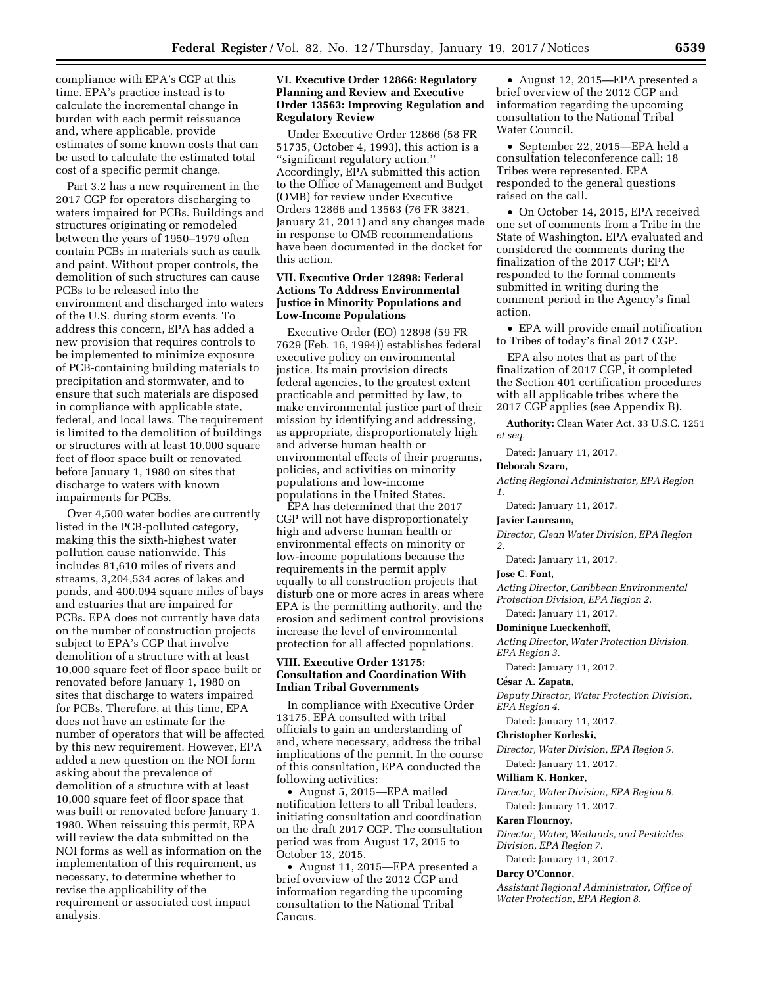compliance with EPA's CGP at this time. EPA's practice instead is to calculate the incremental change in burden with each permit reissuance and, where applicable, provide estimates of some known costs that can be used to calculate the estimated total cost of a specific permit change.

Part 3.2 has a new requirement in the 2017 CGP for operators discharging to waters impaired for PCBs. Buildings and structures originating or remodeled between the years of 1950–1979 often contain PCBs in materials such as caulk and paint. Without proper controls, the demolition of such structures can cause PCBs to be released into the environment and discharged into waters of the U.S. during storm events. To address this concern, EPA has added a new provision that requires controls to be implemented to minimize exposure of PCB-containing building materials to precipitation and stormwater, and to ensure that such materials are disposed in compliance with applicable state, federal, and local laws. The requirement is limited to the demolition of buildings or structures with at least 10,000 square feet of floor space built or renovated before January 1, 1980 on sites that discharge to waters with known impairments for PCBs.

Over 4,500 water bodies are currently listed in the PCB-polluted category, making this the sixth-highest water pollution cause nationwide. This includes 81,610 miles of rivers and streams, 3,204,534 acres of lakes and ponds, and 400,094 square miles of bays and estuaries that are impaired for PCBs. EPA does not currently have data on the number of construction projects subject to EPA's CGP that involve demolition of a structure with at least 10,000 square feet of floor space built or renovated before January 1, 1980 on sites that discharge to waters impaired for PCBs. Therefore, at this time, EPA does not have an estimate for the number of operators that will be affected by this new requirement. However, EPA added a new question on the NOI form asking about the prevalence of demolition of a structure with at least 10,000 square feet of floor space that was built or renovated before January 1, 1980. When reissuing this permit, EPA will review the data submitted on the NOI forms as well as information on the implementation of this requirement, as necessary, to determine whether to revise the applicability of the requirement or associated cost impact analysis.

# **VI. Executive Order 12866: Regulatory Planning and Review and Executive Order 13563: Improving Regulation and Regulatory Review**

Under Executive Order 12866 (58 FR 51735, October 4, 1993), this action is a ''significant regulatory action.'' Accordingly, EPA submitted this action to the Office of Management and Budget (OMB) for review under Executive Orders 12866 and 13563 (76 FR 3821, January 21, 2011) and any changes made in response to OMB recommendations have been documented in the docket for this action.

# **VII. Executive Order 12898: Federal Actions To Address Environmental Justice in Minority Populations and Low-Income Populations**

Executive Order (EO) 12898 (59 FR 7629 (Feb. 16, 1994)) establishes federal executive policy on environmental justice. Its main provision directs federal agencies, to the greatest extent practicable and permitted by law, to make environmental justice part of their mission by identifying and addressing, as appropriate, disproportionately high and adverse human health or environmental effects of their programs, policies, and activities on minority populations and low-income populations in the United States.

EPA has determined that the 2017 CGP will not have disproportionately high and adverse human health or environmental effects on minority or low-income populations because the requirements in the permit apply equally to all construction projects that disturb one or more acres in areas where EPA is the permitting authority, and the erosion and sediment control provisions increase the level of environmental protection for all affected populations.

### **VIII. Executive Order 13175: Consultation and Coordination With Indian Tribal Governments**

In compliance with Executive Order 13175, EPA consulted with tribal officials to gain an understanding of and, where necessary, address the tribal implications of the permit. In the course of this consultation, EPA conducted the following activities:

• August 5, 2015—EPA mailed notification letters to all Tribal leaders, initiating consultation and coordination on the draft 2017 CGP. The consultation period was from August 17, 2015 to October 13, 2015.

• August 11, 2015—EPA presented a brief overview of the 2012 CGP and information regarding the upcoming consultation to the National Tribal Caucus.

• August 12, 2015—EPA presented a brief overview of the 2012 CGP and information regarding the upcoming consultation to the National Tribal Water Council.

• September 22, 2015—EPA held a consultation teleconference call; 18 Tribes were represented. EPA responded to the general questions raised on the call.

• On October 14, 2015, EPA received one set of comments from a Tribe in the State of Washington. EPA evaluated and considered the comments during the finalization of the 2017 CGP; EPA responded to the formal comments submitted in writing during the comment period in the Agency's final action.

• EPA will provide email notification to Tribes of today's final 2017 CGP.

EPA also notes that as part of the finalization of 2017 CGP, it completed the Section 401 certification procedures with all applicable tribes where the 2017 CGP applies (see Appendix B).

**Authority:** Clean Water Act, 33 U.S.C. 1251 *et seq.* 

Dated: January 11, 2017.

**Deborah Szaro,** 

*Acting Regional Administrator, EPA Region 1.* 

Dated: January 11, 2017.

#### **Javier Laureano,**

*Director, Clean Water Division, EPA Region 2.* 

Dated: January 11, 2017.

### **Jose C. Font,**

*Acting Director, Caribbean Environmental Protection Division, EPA Region 2.* 

Dated: January 11, 2017.

#### **Dominique Lueckenhoff,**

*Acting Director, Water Protection Division, EPA Region 3.* 

Dated: January 11, 2017.

### **Ce´sar A. Zapata,**

*Deputy Director, Water Protection Division, EPA Region 4.* 

Dated: January 11, 2017.

**Christopher Korleski,** 

*Director, Water Division, EPA Region 5.* 

Dated: January 11, 2017.

## **William K. Honker,**

*Director, Water Division, EPA Region 6.*  Dated: January 11, 2017.

### **Karen Flournoy,**

*Director, Water, Wetlands, and Pesticides Division, EPA Region 7.* 

Dated: January 11, 2017.

### **Darcy O'Connor,**

*Assistant Regional Administrator, Office of Water Protection, EPA Region 8.*